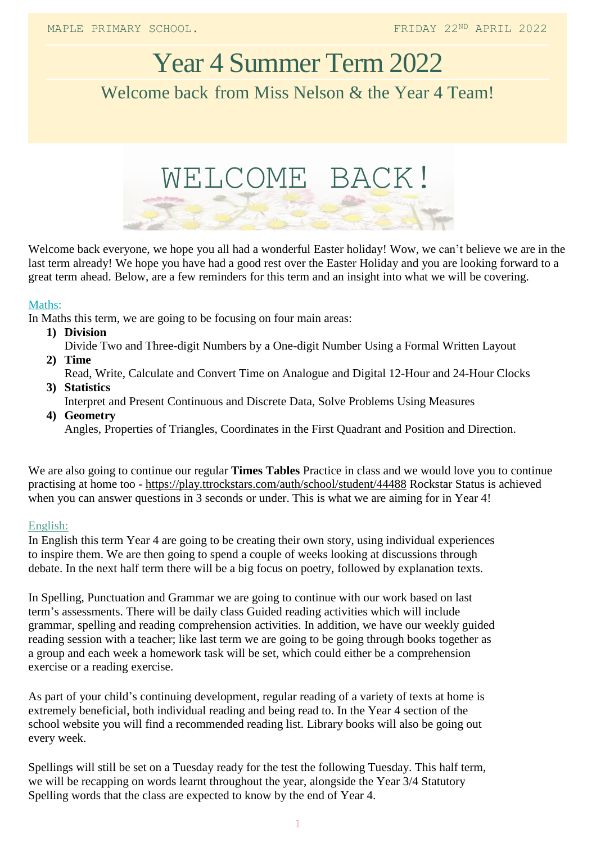# Year 4 Summer Term 2022 Welcome back from Miss Nelson & the Year 4 Team!



Welcome back everyone, we hope you all had a wonderful Easter holiday! Wow, we can't believe we are in the last term already! We hope you have had a good rest over the Easter Holiday and you are looking forward to a great term ahead. Below, are a few reminders for this term and an insight into what we will be covering.

### Maths:

In Maths this term, we are going to be focusing on four main areas:

- **1) Division**
- Divide Two and Three-digit Numbers by a One-digit Number Using a Formal Written Layout
- **2) Time** Read, Write, Calculate and Convert Time on Analogue and Digital 12-Hour and 24-Hour Clocks
- **3) Statistics** Interpret and Present Continuous and Discrete Data, Solve Problems Using Measures
- **4) Geometry** Angles, Properties of Triangles, Coordinates in the First Quadrant and Position and Direction.

We are also going to continue our regular **Times Tables** Practice in class and we would love you to continue practising at home too - <https://play.ttrockstars.com/auth/school/student/44488> Rockstar Status is achieved when you can answer questions in 3 seconds or under. This is what we are aiming for in Year 4!

### English:

In English this term Year 4 are going to be creating their own story, using individual experiences to inspire them. We are then going to spend a couple of weeks looking at discussions through debate. In the next half term there will be a big focus on poetry, followed by explanation texts.

In Spelling, Punctuation and Grammar we are going to continue with our work based on last term's assessments. There will be daily class Guided reading activities which will include grammar, spelling and reading comprehension activities. In addition, we have our weekly guided reading session with a teacher; like last term we are going to be going through books together as a group and each week a homework task will be set, which could either be a comprehension exercise or a reading exercise.

As part of your child's continuing development, regular reading of a variety of texts at home is extremely beneficial, both individual reading and being read to. In the Year 4 section of the school website you will find a recommended reading list. Library books will also be going out every week.

Spellings will still be set on a Tuesday ready for the test the following Tuesday. This half term, we will be recapping on words learnt throughout the year, alongside the Year 3/4 Statutory Spelling words that the class are expected to know by the end of Year 4.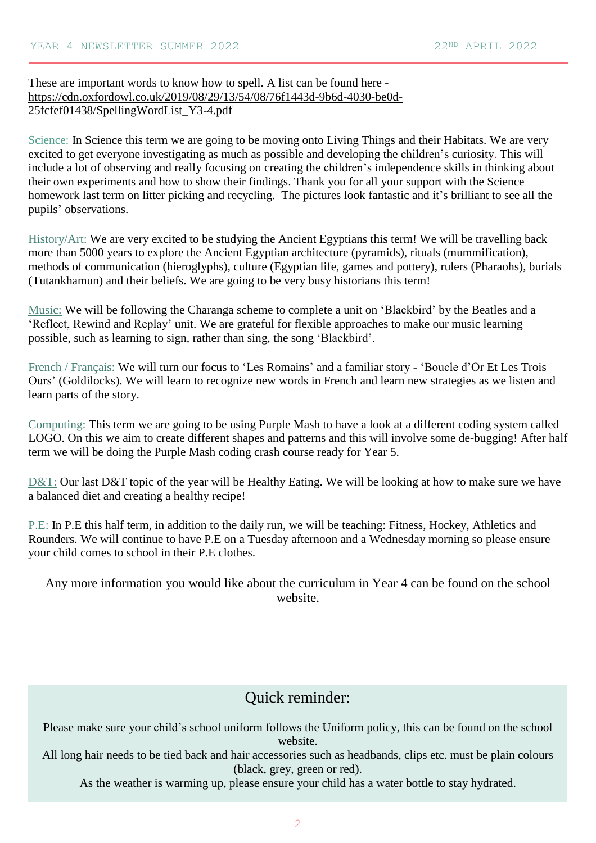## These are important words to know how to spell. A list can be found here [https://cdn.oxfordowl.co.uk/2019/08/29/13/54/08/76f1443d-9b6d-4030-be0d-](https://cdn.oxfordowl.co.uk/2019/08/29/13/54/08/76f1443d-9b6d-4030-be0d-25fcfef01438/SpellingWordList_Y3-4.pdf)[25fcfef01438/SpellingWordList\\_Y3-4.pdf](https://cdn.oxfordowl.co.uk/2019/08/29/13/54/08/76f1443d-9b6d-4030-be0d-25fcfef01438/SpellingWordList_Y3-4.pdf)

Science: In Science this term we are going to be moving onto Living Things and their Habitats. We are very excited to get everyone investigating as much as possible and developing the children's curiosity. This will include a lot of observing and really focusing on creating the children's independence skills in thinking about their own experiments and how to show their findings. Thank you for all your support with the Science homework last term on litter picking and recycling. The pictures look fantastic and it's brilliant to see all the pupils' observations.

History/Art: We are very excited to be studying the Ancient Egyptians this term! We will be travelling back more than 5000 years to explore the Ancient Egyptian architecture (pyramids), rituals (mummification), methods of communication (hieroglyphs), culture (Egyptian life, games and pottery), rulers (Pharaohs), burials (Tutankhamun) and their beliefs. We are going to be very busy historians this term!

Music: We will be following the Charanga scheme to complete a unit on 'Blackbird' by the Beatles and a 'Reflect, Rewind and Replay' unit. We are grateful for flexible approaches to make our music learning possible, such as learning to sign, rather than sing, the song 'Blackbird'.

French / Français: We will turn our focus to 'Les Romains' and a familiar story - 'Boucle d'Or Et Les Trois Ours' (Goldilocks). We will learn to recognize new words in French and learn new strategies as we listen and learn parts of the story.

Computing: This term we are going to be using Purple Mash to have a look at a different coding system called LOGO. On this we aim to create different shapes and patterns and this will involve some de-bugging! After half term we will be doing the Purple Mash coding crash course ready for Year 5.

D&T: Our last D&T topic of the year will be Healthy Eating. We will be looking at how to make sure we have a balanced diet and creating a healthy recipe!

P.E: In P.E this half term, in addition to the daily run, we will be teaching: Fitness, Hockey, Athletics and Rounders. We will continue to have P.E on a Tuesday afternoon and a Wednesday morning so please ensure your child comes to school in their P.E clothes.

Any more information you would like about the curriculum in Year 4 can be found on the school website.

# Quick reminder:

Please make sure your child's school uniform follows the Uniform policy, this can be found on the school website.

All long hair needs to be tied back and hair accessories such as headbands, clips etc. must be plain colours (black, grey, green or red).

As the weather is warming up, please ensure your child has a water bottle to stay hydrated.